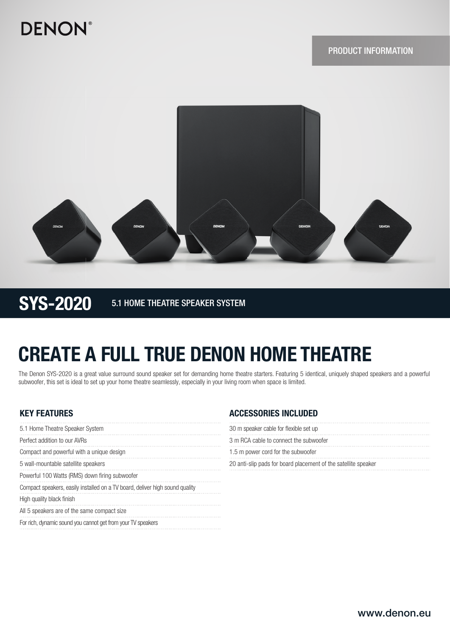## **DENON®**



SYS-2020 5.1 HOME THEATRE SPEAKER SYSTEM

# CREATE A FULL TRUE DENON HOME THEATRE

The Denon SYS-2020 is a great value surround sound speaker set for demanding home theatre starters. Featuring 5 identical, uniquely shaped speakers and a powerful subwoofer, this set is ideal to set up your home theatre seamlessly, especially in your living room when space is limited.

### KEY FEATURES

| 5.1 Home Theatre Speaker System                                              |
|------------------------------------------------------------------------------|
| Perfect addition to our AVRs                                                 |
| Compact and powerful with a unique design                                    |
| 5 wall-mountable satellite speakers                                          |
| Powerful 100 Watts (RMS) down firing subwoofer                               |
| Compact speakers, easily installed on a TV board, deliver high sound quality |
| High quality black finish                                                    |
| All 5 speakers are of the same compact size                                  |
| For rich, dynamic sound you cannot get from your TV speakers                 |

### ACCESSORIES INCLUDED

| 30 m speaker cable for flexible set up                         |
|----------------------------------------------------------------|
| 3 m RCA cable to connect the subwoofer                         |
| 1.5 m power cord for the subwoofer                             |
| 20 anti-slip pads for board placement of the satellite speaker |